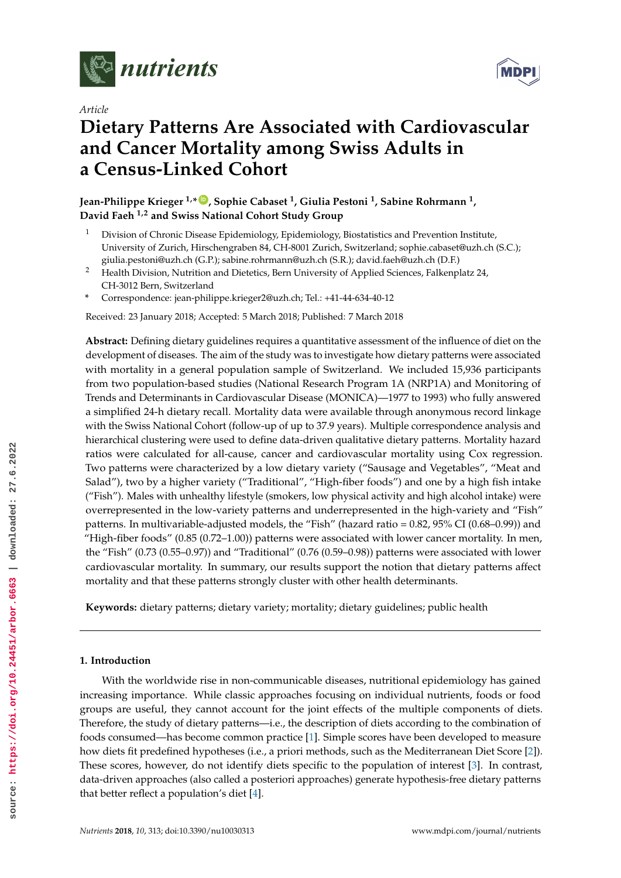

*Article*

# **MDPI**

# **Dietary Patterns Are Associated with Cardiovascular and Cancer Mortality among Swiss Adults in a Census-Linked Cohort**

**Jean-Philippe Krieger 1,\* [ID](https://orcid.org/0000-0003-1913-4466) , Sophie Cabaset <sup>1</sup> , Giulia Pestoni <sup>1</sup> , Sabine Rohrmann <sup>1</sup> , David Faeh 1,2 and Swiss National Cohort Study Group**

- <sup>1</sup> Division of Chronic Disease Epidemiology, Epidemiology, Biostatistics and Prevention Institute, University of Zurich, Hirschengraben 84, CH-8001 Zurich, Switzerland; sophie.cabaset@uzh.ch (S.C.); giulia.pestoni@uzh.ch (G.P.); sabine.rohrmann@uzh.ch (S.R.); david.faeh@uzh.ch (D.F.)
- <sup>2</sup> Health Division, Nutrition and Dietetics, Bern University of Applied Sciences, Falkenplatz 24, CH-3012 Bern, Switzerland
- **\*** Correspondence: jean-philippe.krieger2@uzh.ch; Tel.: +41-44-634-40-12

Received: 23 January 2018; Accepted: 5 March 2018; Published: 7 March 2018

**Abstract:** Defining dietary guidelines requires a quantitative assessment of the influence of diet on the development of diseases. The aim of the study was to investigate how dietary patterns were associated with mortality in a general population sample of Switzerland. We included 15,936 participants from two population-based studies (National Research Program 1A (NRP1A) and Monitoring of Trends and Determinants in Cardiovascular Disease (MONICA)—1977 to 1993) who fully answered a simplified 24-h dietary recall. Mortality data were available through anonymous record linkage with the Swiss National Cohort (follow-up of up to 37.9 years). Multiple correspondence analysis and hierarchical clustering were used to define data-driven qualitative dietary patterns. Mortality hazard ratios were calculated for all-cause, cancer and cardiovascular mortality using Cox regression. Two patterns were characterized by a low dietary variety ("Sausage and Vegetables", "Meat and Salad"), two by a higher variety ("Traditional", "High-fiber foods") and one by a high fish intake ("Fish"). Males with unhealthy lifestyle (smokers, low physical activity and high alcohol intake) were overrepresented in the low-variety patterns and underrepresented in the high-variety and "Fish" patterns. In multivariable-adjusted models, the "Fish" (hazard ratio = 0.82, 95% CI (0.68–0.99)) and "High-fiber foods" (0.85 (0.72–1.00)) patterns were associated with lower cancer mortality. In men, the "Fish" (0.73 (0.55–0.97)) and "Traditional" (0.76 (0.59–0.98)) patterns were associated with lower cardiovascular mortality. In summary, our results support the notion that dietary patterns affect mortality and that these patterns strongly cluster with other health determinants.

**Keywords:** dietary patterns; dietary variety; mortality; dietary guidelines; public health

# **1. Introduction**

With the worldwide rise in non-communicable diseases, nutritional epidemiology has gained increasing importance. While classic approaches focusing on individual nutrients, foods or food groups are useful, they cannot account for the joint effects of the multiple components of diets. Therefore, the study of dietary patterns—i.e., the description of diets according to the combination of foods consumed—has become common practice [1]. Simple scores have been developed to measure how diets fit predefined hypotheses (i.e., a priori methods, such as the Mediterranean Diet Score [2]). These scores, however, do not identify diets specific to the population of interest [3]. In contrast, data-driven approaches (also called a posteriori approaches) generate hypothesis-free dietary patterns that better reflect a population's diet [4].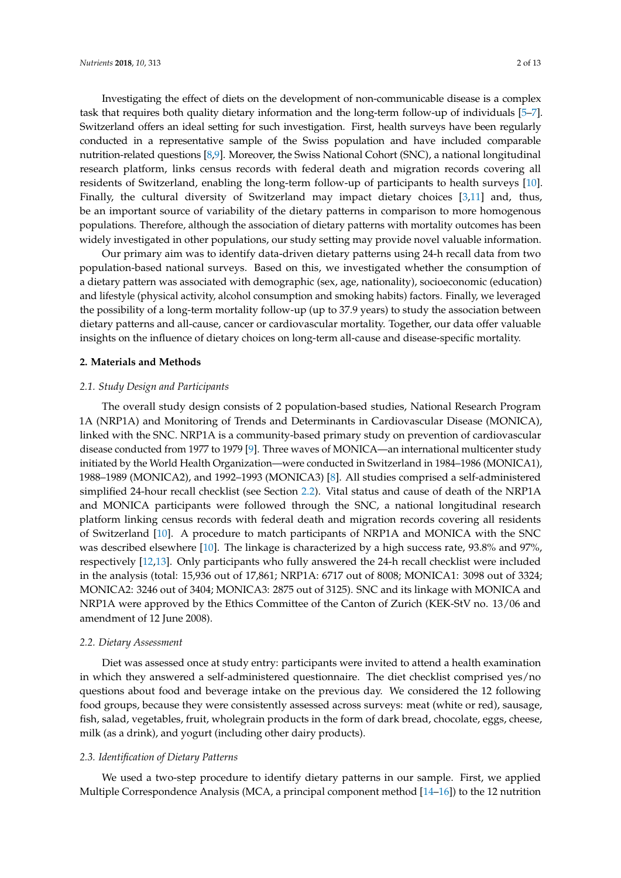Investigating the effect of diets on the development of non-communicable disease is a complex task that requires both quality dietary information and the long-term follow-up of individuals [5–7]. Switzerland offers an ideal setting for such investigation. First, health surveys have been regularly conducted in a representative sample of the Swiss population and have included comparable nutrition-related questions [8,9]. Moreover, the Swiss National Cohort (SNC), a national longitudinal research platform, links census records with federal death and migration records covering all residents of Switzerland, enabling the long-term follow-up of participants to health surveys [10]. Finally, the cultural diversity of Switzerland may impact dietary choices [3,11] and, thus, be an important source of variability of the dietary patterns in comparison to more homogenous populations. Therefore, although the association of dietary patterns with mortality outcomes has been widely investigated in other populations, our study setting may provide novel valuable information.

Our primary aim was to identify data-driven dietary patterns using 24-h recall data from two population-based national surveys. Based on this, we investigated whether the consumption of a dietary pattern was associated with demographic (sex, age, nationality), socioeconomic (education) and lifestyle (physical activity, alcohol consumption and smoking habits) factors. Finally, we leveraged the possibility of a long-term mortality follow-up (up to 37.9 years) to study the association between dietary patterns and all-cause, cancer or cardiovascular mortality. Together, our data offer valuable insights on the influence of dietary choices on long-term all-cause and disease-specific mortality.

#### **2. Materials and Methods**

# *2.1. Study Design and Participants*

The overall study design consists of 2 population-based studies, National Research Program 1A (NRP1A) and Monitoring of Trends and Determinants in Cardiovascular Disease (MONICA), linked with the SNC. NRP1A is a community-based primary study on prevention of cardiovascular disease conducted from 1977 to 1979 [9]. Three waves of MONICA—an international multicenter study initiated by the World Health Organization—were conducted in Switzerland in 1984–1986 (MONICA1), 1988–1989 (MONICA2), and 1992–1993 (MONICA3) [8]. All studies comprised a self-administered simplified 24-hour recall checklist (see Section 2.2). Vital status and cause of death of the NRP1A and MONICA participants were followed through the SNC, a national longitudinal research platform linking census records with federal death and migration records covering all residents of Switzerland [10]. A procedure to match participants of NRP1A and MONICA with the SNC was described elsewhere [10]. The linkage is characterized by a high success rate, 93.8% and 97%, respectively [12,13]. Only participants who fully answered the 24-h recall checklist were included in the analysis (total: 15,936 out of 17,861; NRP1A: 6717 out of 8008; MONICA1: 3098 out of 3324; MONICA2: 3246 out of 3404; MONICA3: 2875 out of 3125). SNC and its linkage with MONICA and NRP1A were approved by the Ethics Committee of the Canton of Zurich (KEK-StV no. 13/06 and amendment of 12 June 2008).

#### *2.2. Dietary Assessment*

Diet was assessed once at study entry: participants were invited to attend a health examination in which they answered a self-administered questionnaire. The diet checklist comprised yes/no questions about food and beverage intake on the previous day. We considered the 12 following food groups, because they were consistently assessed across surveys: meat (white or red), sausage, fish, salad, vegetables, fruit, wholegrain products in the form of dark bread, chocolate, eggs, cheese, milk (as a drink), and yogurt (including other dairy products).

# *2.3. Identification of Dietary Patterns*

We used a two-step procedure to identify dietary patterns in our sample. First, we applied Multiple Correspondence Analysis (MCA, a principal component method [14–16]) to the 12 nutrition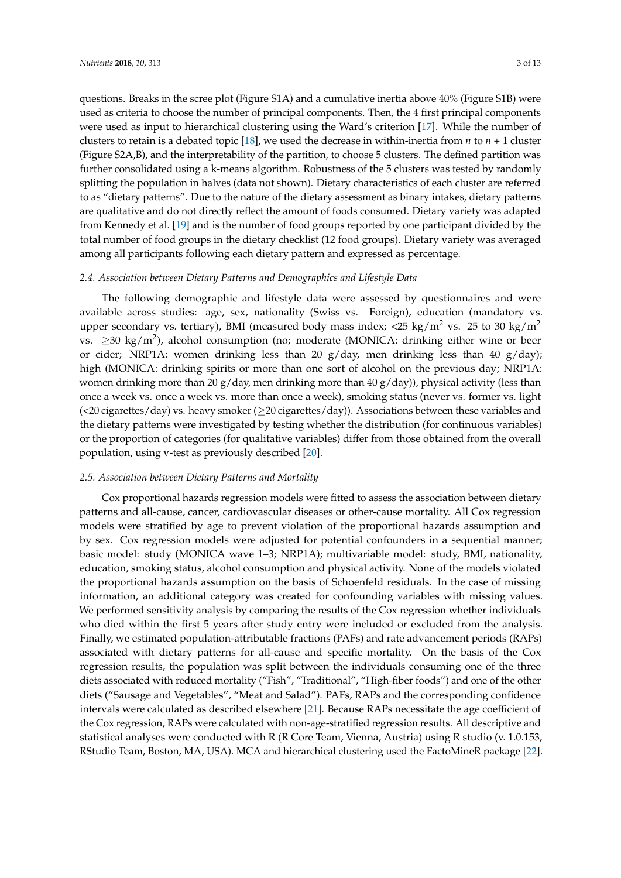questions. Breaks in the scree plot (Figure S1A) and a cumulative inertia above 40% (Figure S1B) were used as criteria to choose the number of principal components. Then, the 4 first principal components were used as input to hierarchical clustering using the Ward's criterion [17]. While the number of clusters to retain is a debated topic [18], we used the decrease in within-inertia from *n* to *n* + 1 cluster (Figure S2A,B), and the interpretability of the partition, to choose 5 clusters. The defined partition was further consolidated using a k-means algorithm. Robustness of the 5 clusters was tested by randomly splitting the population in halves (data not shown). Dietary characteristics of each cluster are referred to as "dietary patterns". Due to the nature of the dietary assessment as binary intakes, dietary patterns are qualitative and do not directly reflect the amount of foods consumed. Dietary variety was adapted from Kennedy et al. [19] and is the number of food groups reported by one participant divided by the total number of food groups in the dietary checklist (12 food groups). Dietary variety was averaged among all participants following each dietary pattern and expressed as percentage.

# *2.4. Association between Dietary Patterns and Demographics and Lifestyle Data*

The following demographic and lifestyle data were assessed by questionnaires and were available across studies: age, sex, nationality (Swiss vs. Foreign), education (mandatory vs. upper secondary vs. tertiary), BMI (measured body mass index;  $\langle 25 \text{ kg/m}^2 \text{ vs. } 25 \text{ to } 30 \text{ kg/m}^2$ vs.  $\geq$ 30 kg/m<sup>2</sup>), alcohol consumption (no; moderate (MONICA: drinking either wine or beer or cider; NRP1A: women drinking less than 20 g/day, men drinking less than 40 g/day); high (MONICA: drinking spirits or more than one sort of alcohol on the previous day; NRP1A: women drinking more than 20  $g/day$ , men drinking more than 40  $g/day$ )), physical activity (less than once a week vs. once a week vs. more than once a week), smoking status (never vs. former vs. light  $\langle$  <20 cigarettes/day) vs. heavy smoker ( $\geq$ 20 cigarettes/day)). Associations between these variables and the dietary patterns were investigated by testing whether the distribution (for continuous variables) or the proportion of categories (for qualitative variables) differ from those obtained from the overall population, using v-test as previously described [20].

# *2.5. Association between Dietary Patterns and Mortality*

Cox proportional hazards regression models were fitted to assess the association between dietary patterns and all-cause, cancer, cardiovascular diseases or other-cause mortality. All Cox regression models were stratified by age to prevent violation of the proportional hazards assumption and by sex. Cox regression models were adjusted for potential confounders in a sequential manner; basic model: study (MONICA wave 1–3; NRP1A); multivariable model: study, BMI, nationality, education, smoking status, alcohol consumption and physical activity. None of the models violated the proportional hazards assumption on the basis of Schoenfeld residuals. In the case of missing information, an additional category was created for confounding variables with missing values. We performed sensitivity analysis by comparing the results of the Cox regression whether individuals who died within the first 5 years after study entry were included or excluded from the analysis. Finally, we estimated population-attributable fractions (PAFs) and rate advancement periods (RAPs) associated with dietary patterns for all-cause and specific mortality. On the basis of the Cox regression results, the population was split between the individuals consuming one of the three diets associated with reduced mortality ("Fish", "Traditional", "High-fiber foods") and one of the other diets ("Sausage and Vegetables", "Meat and Salad"). PAFs, RAPs and the corresponding confidence intervals were calculated as described elsewhere [21]. Because RAPs necessitate the age coefficient of the Cox regression, RAPs were calculated with non-age-stratified regression results. All descriptive and statistical analyses were conducted with R (R Core Team, Vienna, Austria) using R studio (v. 1.0.153, RStudio Team, Boston, MA, USA). MCA and hierarchical clustering used the FactoMineR package [22].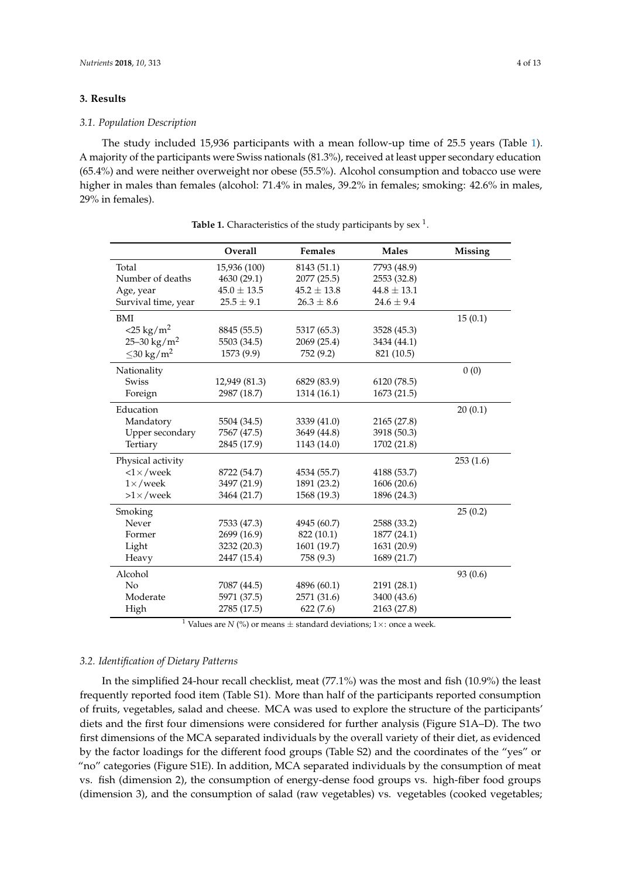# **3. Results**

# *3.1. Population Description*

The study included 15,936 participants with a mean follow-up time of 25.5 years (Table 1). A majority of the participants were Swiss nationals (81.3%), received at least upper secondary education (65.4%) and were neither overweight nor obese (55.5%). Alcohol consumption and tobacco use were higher in males than females (alcohol: 71.4% in males, 39.2% in females; smoking: 42.6% in males, 29% in females).

|                             | <b>Overall</b>  | <b>Females</b> | <b>Males</b>   | Missing  |
|-----------------------------|-----------------|----------------|----------------|----------|
| Total                       | 15,936 (100)    | 8143 (51.1)    | 7793 (48.9)    |          |
| Number of deaths            | 4630 (29.1)     | 2077 (25.5)    | 2553 (32.8)    |          |
| Age, year                   | $45.0 \pm 13.5$ | $45.2 + 13.8$  | $44.8 + 13.1$  |          |
| Survival time, year         | $25.5 \pm 9.1$  | $26.3 \pm 8.6$ | $24.6 \pm 9.4$ |          |
| <b>BMI</b>                  |                 |                |                | 15(0.1)  |
| $<$ 25 kg/m <sup>2</sup>    | 8845 (55.5)     | 5317 (65.3)    | 3528 (45.3)    |          |
| 25-30 kg/m <sup>2</sup>     | 5503 (34.5)     | 2069 (25.4)    | 3434 (44.1)    |          |
| $\leq$ 30 kg/m <sup>2</sup> | 1573 (9.9)      | 752 (9.2)      | 821 (10.5)     |          |
| Nationality                 |                 |                |                | 0(0)     |
| <b>Swiss</b>                | 12,949 (81.3)   | 6829 (83.9)    | 6120 (78.5)    |          |
| Foreign                     | 2987 (18.7)     | 1314 (16.1)    | 1673 (21.5)    |          |
| Education                   |                 |                |                | 20(0.1)  |
| Mandatory                   | 5504 (34.5)     | 3339 (41.0)    | 2165 (27.8)    |          |
| Upper secondary             | 7567 (47.5)     | 3649 (44.8)    | 3918 (50.3)    |          |
| Tertiary                    | 2845 (17.9)     | 1143 (14.0)    | 1702 (21.8)    |          |
| Physical activity           |                 |                |                | 253(1.6) |
| $<1\times$ /week            | 8722 (54.7)     | 4534 (55.7)    | 4188 (53.7)    |          |
| $1 \times$ /week            | 3497 (21.9)     | 1891 (23.2)    | 1606 (20.6)    |          |
| $>1\times$ /week            | 3464 (21.7)     | 1568 (19.3)    | 1896 (24.3)    |          |
| Smoking                     |                 |                |                | 25(0.2)  |
| Never                       | 7533 (47.3)     | 4945 (60.7)    | 2588 (33.2)    |          |
| Former                      | 2699 (16.9)     | 822 (10.1)     | 1877 (24.1)    |          |
| Light                       | 3232 (20.3)     | 1601 (19.7)    | 1631 (20.9)    |          |
| Heavy                       | 2447 (15.4)     | 758 (9.3)      | 1689 (21.7)    |          |
| Alcohol                     |                 |                |                | 93 (0.6) |
| $\overline{N}$              | 7087 (44.5)     | 4896 (60.1)    | 2191 (28.1)    |          |
| Moderate                    | 5971 (37.5)     | 2571 (31.6)    | 3400 (43.6)    |          |
| High                        | 2785 (17.5)     | 622(7.6)       | 2163 (27.8)    |          |

**Table 1.** Characteristics of the study participants by sex  $^1$ .

<sup>1</sup> Values are *N* (%) or means  $\pm$  standard deviations; 1 $\times$ : once a week.

# *3.2. Identification of Dietary Patterns*

In the simplified 24-hour recall checklist, meat (77.1%) was the most and fish (10.9%) the least frequently reported food item (Table S1). More than half of the participants reported consumption of fruits, vegetables, salad and cheese. MCA was used to explore the structure of the participants' diets and the first four dimensions were considered for further analysis (Figure S1A–D). The two first dimensions of the MCA separated individuals by the overall variety of their diet, as evidenced by the factor loadings for the different food groups (Table S2) and the coordinates of the "yes" or "no" categories (Figure S1E). In addition, MCA separated individuals by the consumption of meat vs. fish (dimension 2), the consumption of energy-dense food groups vs. high-fiber food groups (dimension 3), and the consumption of salad (raw vegetables) vs. vegetables (cooked vegetables;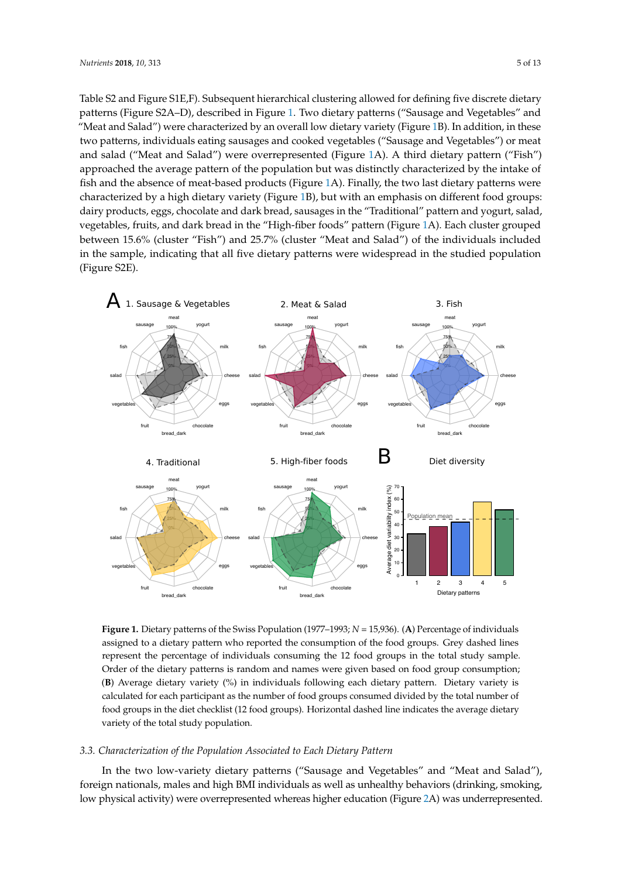Table S2 and Figure S1E,F). Subsequent hierarchical clustering allowed for defining five discrete dietary patterns (Figure S2A–D), described in Figure 1. Two dietary patterns ("Sausage and Vegetables" and "Meat and Salad") were characterized by an overall low dietary variety (Figure 1B). In addition, in these two patterns, individuals eating sausages and cooked vegetables ("Sausage and Vegetables") or meat and salad ("Meat and Salad") were overrepresented (Figure 1A). A third dietary pattern ("Fish") approached the average pattern of the population but was distinctly characterized by the intake of fish and the absence of meat-based products (Figure 1A). Finally, the two last dietary patterns were characterized by a high dietary variety (Figure 1B), but with an emphasis on different food groups: dairy products, eggs, chocolate and dark bread, sausages in the "Traditional" pattern and yogurt, salad, vegetables, fruits, and dark bread in the "High-fiber foods" pattern (Figure 1A). Each cluster grouped between 15.6% (cluster "Fish") and 25.7% (cluster "Meat and Salad") of the individuals included in the sample, indicating that all five dietary patterns were widespread in the studied population (Figure S2E).



**Figure 1.** Dietary patterns of the Swiss Population (1977–1993; *N* = 15,936). (**A**) Percentage of individuals assigned to a dietary pattern who reported the consumption of the food groups. Grey dashed lines represent the percentage of individuals consuming the 12 food groups in the total study sample. Order of the dietary patterns is random and names were given based on food group consumption; (**B**) Average dietary variety (%) in individuals following each dietary pattern. Dietary variety is calculated for each participant as the number of food groups consumed divided by the total number of food groups in the diet checklist (12 food groups). Horizontal dashed line indicates the average dietary variety of the total study population.

#### *3.3. Characterization of the Population Associated to Each Dietary Pattern*

In the two low-variety dietary patterns ("Sausage and Vegetables" and "Meat and Salad"), foreign nationals, males and high BMI individuals as well as unhealthy behaviors (drinking, smoking, low physical activity) were overrepresented whereas higher education (Figure 2A) was underrepresented.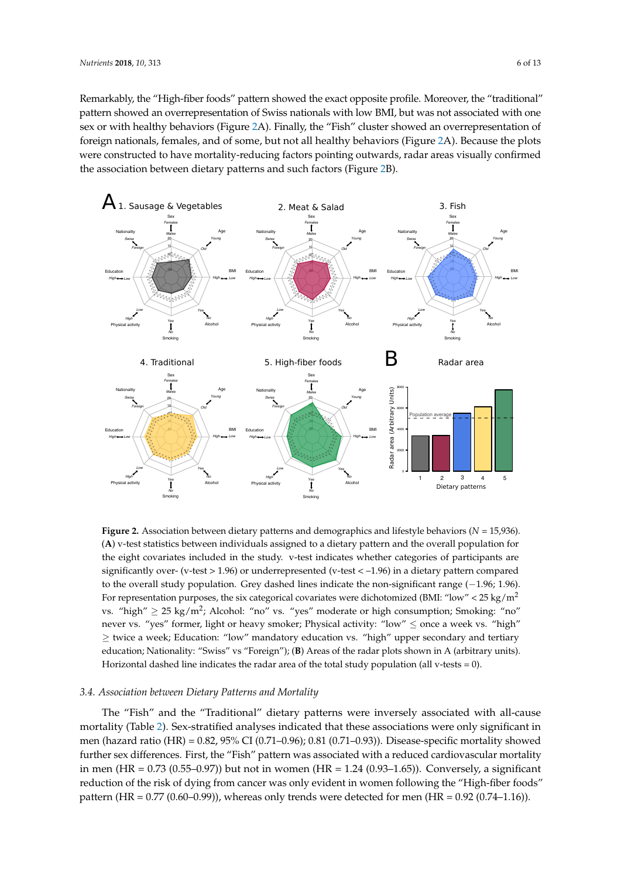Remarkably, the "High-fiber foods" pattern showed the exact opposite profile. Moreover, the "traditional" pattern showed an overrepresentation of Swiss nationals with low BMI, but was not associated with one sex or with healthy behaviors (Figure 2A). Finally, the "Fish" cluster showed an overrepresentation of foreign nationals, females, and of some, but not all healthy behaviors (Figure 2A). Because the plots were constructed to have mortality-reducing factors pointing outwards, radar areas visually confirmed the association between dietary patterns and such factors (Figure 2B).



**Figure 2.** Association between dietary patterns and demographics and lifestyle behaviors (*N* = 15,936). (**A**) v-test statistics between individuals assigned to a dietary pattern and the overall population for the eight covariates included in the study. v-test indicates whether categories of participants are significantly over- (v-test  $> 1.96$ ) or underrepresented (v-test  $<-1.96$ ) in a dietary pattern compared to the overall study population. Grey dashed lines indicate the non-significant range (−1.96; 1.96). For representation purposes, the six categorical covariates were dichotomized (BMI: "low" <  $25 \text{ kg/m}^2$ vs. "high"  $\geq$  25 kg/m<sup>2</sup>; Alcohol: "no" vs. "yes" moderate or high consumption; Smoking: "no" never vs. "yes" former, light or heavy smoker; Physical activity: "low" ≤ once a week vs. "high"  $\ge$  twice a week; Education: "low" mandatory education vs. "high" upper secondary and tertiary education; Nationality: "Swiss" vs "Foreign"); (**B**) Areas of the radar plots shown in A (arbitrary units). Horizontal dashed line indicates the radar area of the total study population (all v-tests = 0).

# *3.4. Association between Dietary Patterns and Mortality*

The "Fish" and the "Traditional" dietary patterns were inversely associated with all-cause mortality (Table 2). Sex-stratified analyses indicated that these associations were only significant in men (hazard ratio (HR) = 0.82, 95% CI (0.71–0.96); 0.81 (0.71–0.93)). Disease-specific mortality showed further sex differences. First, the "Fish" pattern was associated with a reduced cardiovascular mortality in men (HR =  $0.73$  ( $0.55-0.97$ )) but not in women (HR =  $1.24$  ( $0.93-1.65$ )). Conversely, a significant reduction of the risk of dying from cancer was only evident in women following the "High-fiber foods" pattern (HR =  $0.77$  (0.60–0.99)), whereas only trends were detected for men (HR =  $0.92$  (0.74–1.16)).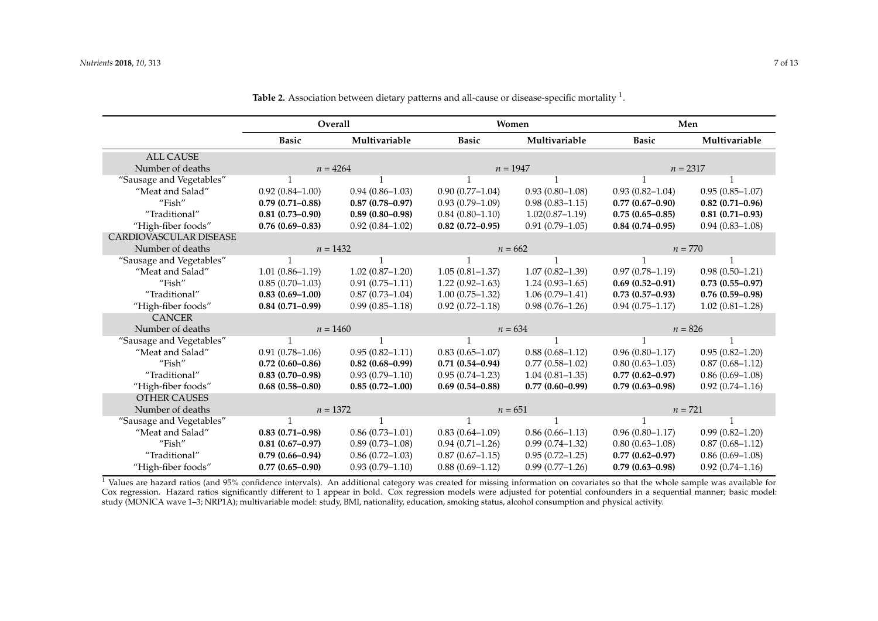|                          | Overall             |                     | Women               |                     | Men                 |                     |  |
|--------------------------|---------------------|---------------------|---------------------|---------------------|---------------------|---------------------|--|
|                          | <b>Basic</b>        | Multivariable       | <b>Basic</b>        | Multivariable       | <b>Basic</b>        | Multivariable       |  |
| <b>ALL CAUSE</b>         |                     |                     |                     |                     |                     |                     |  |
| Number of deaths         |                     | $n = 4264$          |                     | $n = 1947$          |                     | $n = 2317$          |  |
| "Sausage and Vegetables" |                     |                     |                     |                     |                     |                     |  |
| "Meat and Salad"         | $0.92(0.84 - 1.00)$ | $0.94(0.86 - 1.03)$ | $0.90(0.77-1.04)$   | $0.93(0.80-1.08)$   | $0.93(0.82 - 1.04)$ | $0.95(0.85 - 1.07)$ |  |
| "Fish"                   | $0.79(0.71 - 0.88)$ | $0.87(0.78 - 0.97)$ | $0.93(0.79 - 1.09)$ | $0.98(0.83 - 1.15)$ | $0.77(0.67-0.90)$   | $0.82(0.71-0.96)$   |  |
| "Traditional"            | $0.81(0.73 - 0.90)$ | $0.89(0.80 - 0.98)$ | $0.84(0.80-1.10)$   | $1.02(0.87 - 1.19)$ | $0.75(0.65 - 0.85)$ | $0.81(0.71 - 0.93)$ |  |
| "High-fiber foods"       | $0.76(0.69 - 0.83)$ | $0.92(0.84 - 1.02)$ | $0.82$ (0.72-0.95)  | $0.91(0.79 - 1.05)$ | $0.84(0.74 - 0.95)$ | $0.94(0.83 - 1.08)$ |  |
| CARDIOVASCULAR DISEASE   |                     |                     |                     |                     |                     |                     |  |
| Number of deaths         | $n = 1432$          |                     | $n = 662$           |                     | $n = 770$           |                     |  |
| "Sausage and Vegetables" |                     |                     |                     |                     |                     |                     |  |
| "Meat and Salad"         | $1.01(0.86 - 1.19)$ | $1.02(0.87-1.20)$   | $1.05(0.81 - 1.37)$ | $1.07(0.82 - 1.39)$ | $0.97(0.78 - 1.19)$ | $0.98(0.50-1.21)$   |  |
| "Fish"                   | $0.85(0.70-1.03)$   | $0.91(0.75 - 1.11)$ | $1.22(0.92 - 1.63)$ | $1.24(0.93 - 1.65)$ | $0.69(0.52 - 0.91)$ | $0.73(0.55 - 0.97)$ |  |
| "Traditional"            | $0.83(0.69 - 1.00)$ | $0.87(0.73 - 1.04)$ | $1.00(0.75-1.32)$   | $1.06(0.79-1.41)$   | $0.73(0.57-0.93)$   | $0.76(0.59 - 0.98)$ |  |
| "High-fiber foods"       | $0.84(0.71 - 0.99)$ | $0.99(0.85 - 1.18)$ | $0.92(0.72 - 1.18)$ | $0.98(0.76 - 1.26)$ | $0.94(0.75 - 1.17)$ | $1.02(0.81 - 1.28)$ |  |
| <b>CANCER</b>            |                     |                     |                     |                     |                     |                     |  |
| Number of deaths         |                     | $n = 1460$          |                     | $n = 634$           |                     | $n = 826$           |  |
| "Sausage and Vegetables" |                     |                     |                     |                     |                     |                     |  |
| "Meat and Salad"         | $0.91(0.78 - 1.06)$ | $0.95(0.82 - 1.11)$ | $0.83(0.65 - 1.07)$ | $0.88(0.68 - 1.12)$ | $0.96(0.80-1.17)$   | $0.95(0.82 - 1.20)$ |  |
| "Fish"                   | $0.72(0.60 - 0.86)$ | $0.82(0.68 - 0.99)$ | $0.71(0.54 - 0.94)$ | $0.77(0.58 - 1.02)$ | $0.80(0.63 - 1.03)$ | $0.87(0.68 - 1.12)$ |  |
| "Traditional"            | $0.83(0.70-0.98)$   | $0.93(0.79 - 1.10)$ | $0.95(0.74 - 1.23)$ | $1.04(0.81 - 1.35)$ | $0.77(0.62 - 0.97)$ | $0.86(0.69-1.08)$   |  |
| "High-fiber foods"       | $0.68(0.58 - 0.80)$ | $0.85(0.72 - 1.00)$ | $0.69(0.54 - 0.88)$ | $0.77(0.60 - 0.99)$ | $0.79(0.63 - 0.98)$ | $0.92(0.74 - 1.16)$ |  |
| <b>OTHER CAUSES</b>      |                     |                     |                     |                     |                     |                     |  |
| Number of deaths         | $n = 1372$          |                     | $n = 651$           |                     | $n = 721$           |                     |  |
| "Sausage and Vegetables" |                     |                     |                     |                     |                     |                     |  |
| "Meat and Salad"         | $0.83(0.71 - 0.98)$ | $0.86(0.73 - 1.01)$ | $0.83(0.64 - 1.09)$ | $0.86(0.66 - 1.13)$ | $0.96(0.80-1.17)$   | $0.99(0.82 - 1.20)$ |  |
| "Fish"                   | $0.81(0.67 - 0.97)$ | $0.89(0.73 - 1.08)$ | $0.94(0.71 - 1.26)$ | $0.99(0.74 - 1.32)$ | $0.80(0.63 - 1.08)$ | $0.87(0.68 - 1.12)$ |  |
| "Traditional"            | $0.79(0.66 - 0.94)$ | $0.86(0.72 - 1.03)$ | $0.87(0.67 - 1.15)$ | $0.95(0.72 - 1.25)$ | $0.77(0.62 - 0.97)$ | $0.86(0.69-1.08)$   |  |
| "High-fiber foods"       | $0.77(0.65 - 0.90)$ | $0.93(0.79 - 1.10)$ | $0.88(0.69-1.12)$   | $0.99(0.77 - 1.26)$ | $0.79(0.63 - 0.98)$ | $0.92(0.74 - 1.16)$ |  |

**Table 2.** Association between dietary patterns and all-cause or disease-specific mortality  $^1$ .

 $^1$  Values are hazard ratios (and 95% confidence intervals). An additional category was created for missing information on covariates so that the whole sample was available for Cox regression. Hazard ratios significantly different to 1 appear in bold. Cox regression models were adjusted for potential confounders in a sequential manner; basic model: study (MONICA wave 1–3; NRP1A); multivariable model: study, BMI, nationality, education, smoking status, alcohol consumption and physical activity.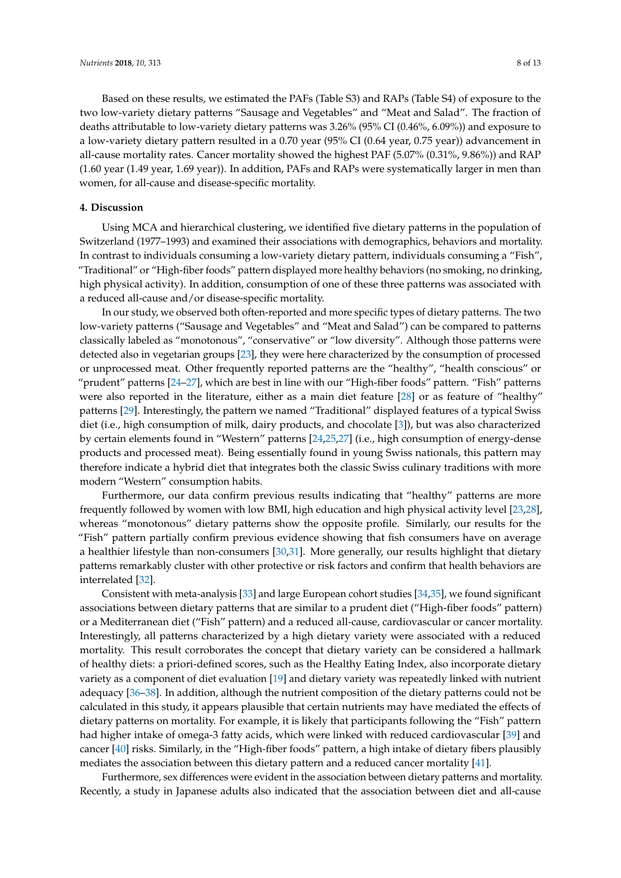Based on these results, we estimated the PAFs (Table S3) and RAPs (Table S4) of exposure to the two low-variety dietary patterns "Sausage and Vegetables" and "Meat and Salad". The fraction of deaths attributable to low-variety dietary patterns was 3.26% (95% CI (0.46%, 6.09%)) and exposure to a low-variety dietary pattern resulted in a 0.70 year (95% CI (0.64 year, 0.75 year)) advancement in all-cause mortality rates. Cancer mortality showed the highest PAF (5.07% (0.31%, 9.86%)) and RAP (1.60 year (1.49 year, 1.69 year)). In addition, PAFs and RAPs were systematically larger in men than women, for all-cause and disease-specific mortality.

# **4. Discussion**

Using MCA and hierarchical clustering, we identified five dietary patterns in the population of Switzerland (1977–1993) and examined their associations with demographics, behaviors and mortality. In contrast to individuals consuming a low-variety dietary pattern, individuals consuming a "Fish", "Traditional" or "High-fiber foods" pattern displayed more healthy behaviors (no smoking, no drinking, high physical activity). In addition, consumption of one of these three patterns was associated with a reduced all-cause and/or disease-specific mortality.

In our study, we observed both often-reported and more specific types of dietary patterns. The two low-variety patterns ("Sausage and Vegetables" and "Meat and Salad") can be compared to patterns classically labeled as "monotonous", "conservative" or "low diversity". Although those patterns were detected also in vegetarian groups [23], they were here characterized by the consumption of processed or unprocessed meat. Other frequently reported patterns are the "healthy", "health conscious" or "prudent" patterns [24–27], which are best in line with our "High-fiber foods" pattern. "Fish" patterns were also reported in the literature, either as a main diet feature [28] or as feature of "healthy" patterns [29]. Interestingly, the pattern we named "Traditional" displayed features of a typical Swiss diet (i.e., high consumption of milk, dairy products, and chocolate [3]), but was also characterized by certain elements found in "Western" patterns [24,25,27] (i.e., high consumption of energy-dense products and processed meat). Being essentially found in young Swiss nationals, this pattern may therefore indicate a hybrid diet that integrates both the classic Swiss culinary traditions with more modern "Western" consumption habits.

Furthermore, our data confirm previous results indicating that "healthy" patterns are more frequently followed by women with low BMI, high education and high physical activity level [23,28], whereas "monotonous" dietary patterns show the opposite profile. Similarly, our results for the "Fish" pattern partially confirm previous evidence showing that fish consumers have on average a healthier lifestyle than non-consumers [30,31]. More generally, our results highlight that dietary patterns remarkably cluster with other protective or risk factors and confirm that health behaviors are interrelated [32].

Consistent with meta-analysis [33] and large European cohort studies [34,35], we found significant associations between dietary patterns that are similar to a prudent diet ("High-fiber foods" pattern) or a Mediterranean diet ("Fish" pattern) and a reduced all-cause, cardiovascular or cancer mortality. Interestingly, all patterns characterized by a high dietary variety were associated with a reduced mortality. This result corroborates the concept that dietary variety can be considered a hallmark of healthy diets: a priori-defined scores, such as the Healthy Eating Index, also incorporate dietary variety as a component of diet evaluation [19] and dietary variety was repeatedly linked with nutrient adequacy [36–38]. In addition, although the nutrient composition of the dietary patterns could not be calculated in this study, it appears plausible that certain nutrients may have mediated the effects of dietary patterns on mortality. For example, it is likely that participants following the "Fish" pattern had higher intake of omega-3 fatty acids, which were linked with reduced cardiovascular [39] and cancer [40] risks. Similarly, in the "High-fiber foods" pattern, a high intake of dietary fibers plausibly mediates the association between this dietary pattern and a reduced cancer mortality [41].

Furthermore, sex differences were evident in the association between dietary patterns and mortality. Recently, a study in Japanese adults also indicated that the association between diet and all-cause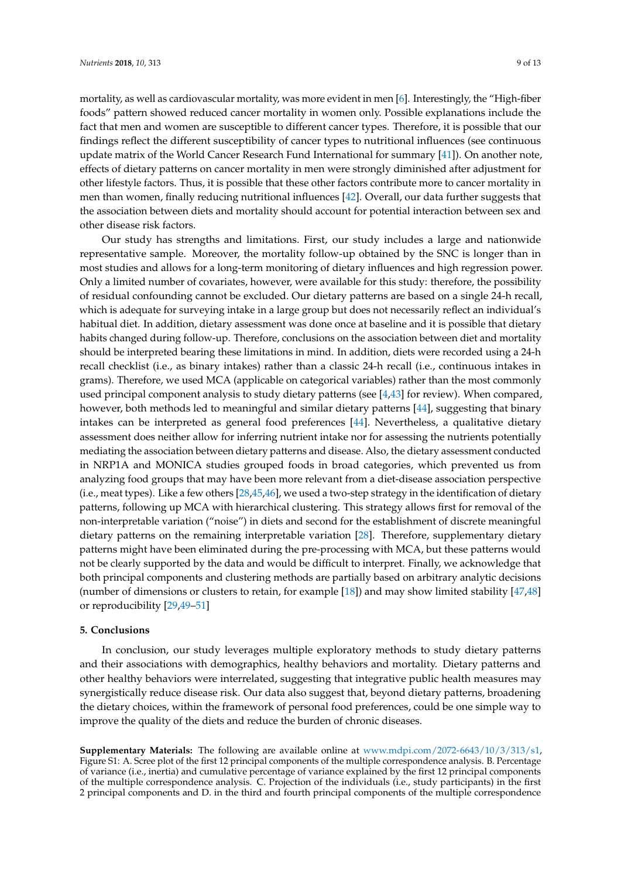mortality, as well as cardiovascular mortality, was more evident in men [6]. Interestingly, the "High-fiber foods" pattern showed reduced cancer mortality in women only. Possible explanations include the fact that men and women are susceptible to different cancer types. Therefore, it is possible that our findings reflect the different susceptibility of cancer types to nutritional influences (see continuous update matrix of the World Cancer Research Fund International for summary [41]). On another note, effects of dietary patterns on cancer mortality in men were strongly diminished after adjustment for other lifestyle factors. Thus, it is possible that these other factors contribute more to cancer mortality in men than women, finally reducing nutritional influences [42]. Overall, our data further suggests that the association between diets and mortality should account for potential interaction between sex and other disease risk factors.

Our study has strengths and limitations. First, our study includes a large and nationwide representative sample. Moreover, the mortality follow-up obtained by the SNC is longer than in most studies and allows for a long-term monitoring of dietary influences and high regression power. Only a limited number of covariates, however, were available for this study: therefore, the possibility of residual confounding cannot be excluded. Our dietary patterns are based on a single 24-h recall, which is adequate for surveying intake in a large group but does not necessarily reflect an individual's habitual diet. In addition, dietary assessment was done once at baseline and it is possible that dietary habits changed during follow-up. Therefore, conclusions on the association between diet and mortality should be interpreted bearing these limitations in mind. In addition, diets were recorded using a 24-h recall checklist (i.e., as binary intakes) rather than a classic 24-h recall (i.e., continuous intakes in grams). Therefore, we used MCA (applicable on categorical variables) rather than the most commonly used principal component analysis to study dietary patterns (see [4,43] for review). When compared, however, both methods led to meaningful and similar dietary patterns [44], suggesting that binary intakes can be interpreted as general food preferences [44]. Nevertheless, a qualitative dietary assessment does neither allow for inferring nutrient intake nor for assessing the nutrients potentially mediating the association between dietary patterns and disease. Also, the dietary assessment conducted in NRP1A and MONICA studies grouped foods in broad categories, which prevented us from analyzing food groups that may have been more relevant from a diet-disease association perspective (i.e., meat types). Like a few others [28,45,46], we used a two-step strategy in the identification of dietary patterns, following up MCA with hierarchical clustering. This strategy allows first for removal of the non-interpretable variation ("noise") in diets and second for the establishment of discrete meaningful dietary patterns on the remaining interpretable variation [28]. Therefore, supplementary dietary patterns might have been eliminated during the pre-processing with MCA, but these patterns would not be clearly supported by the data and would be difficult to interpret. Finally, we acknowledge that both principal components and clustering methods are partially based on arbitrary analytic decisions (number of dimensions or clusters to retain, for example [18]) and may show limited stability [47,48] or reproducibility [29,49–51]

# **5. Conclusions**

In conclusion, our study leverages multiple exploratory methods to study dietary patterns and their associations with demographics, healthy behaviors and mortality. Dietary patterns and other healthy behaviors were interrelated, suggesting that integrative public health measures may synergistically reduce disease risk. Our data also suggest that, beyond dietary patterns, broadening the dietary choices, within the framework of personal food preferences, could be one simple way to improve the quality of the diets and reduce the burden of chronic diseases.

**Supplementary Materials:** The following are available online at [www.mdpi.com/2072-6643/10/3/313/s1,](www.mdpi.com/2072-6643/10/3/313/s1) Figure S1: A. Scree plot of the first 12 principal components of the multiple correspondence analysis. B. Percentage of variance (i.e., inertia) and cumulative percentage of variance explained by the first 12 principal components of the multiple correspondence analysis. C. Projection of the individuals (i.e., study participants) in the first 2 principal components and D. in the third and fourth principal components of the multiple correspondence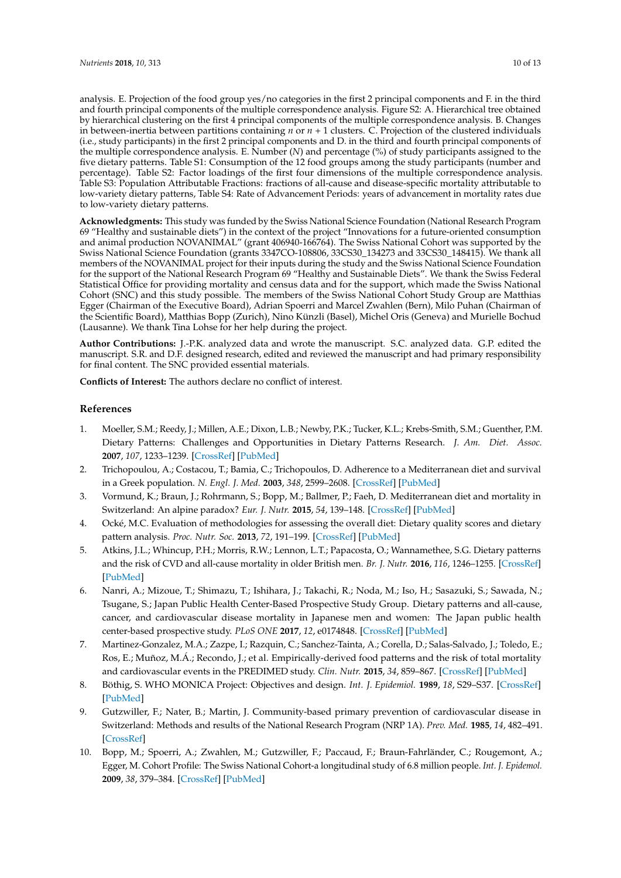analysis. E. Projection of the food group yes/no categories in the first 2 principal components and F. in the third and fourth principal components of the multiple correspondence analysis. Figure S2: A. Hierarchical tree obtained by hierarchical clustering on the first 4 principal components of the multiple correspondence analysis. B. Changes in between-inertia between partitions containing *n* or *n* + 1 clusters. C. Projection of the clustered individuals (i.e., study participants) in the first 2 principal components and D. in the third and fourth principal components of the multiple correspondence analysis. E. Number (*N*) and percentage (%) of study participants assigned to the five dietary patterns. Table S1: Consumption of the 12 food groups among the study participants (number and percentage). Table S2: Factor loadings of the first four dimensions of the multiple correspondence analysis. Table S3: Population Attributable Fractions: fractions of all-cause and disease-specific mortality attributable to low-variety dietary patterns, Table S4: Rate of Advancement Periods: years of advancement in mortality rates due to low-variety dietary patterns.

**Acknowledgments:** This study was funded by the Swiss National Science Foundation (National Research Program 69 "Healthy and sustainable diets") in the context of the project "Innovations for a future-oriented consumption and animal production NOVANIMAL" (grant 406940-166764). The Swiss National Cohort was supported by the Swiss National Science Foundation (grants 3347CO-108806, 33CS30\_134273 and 33CS30\_148415). We thank all members of the NOVANIMAL project for their inputs during the study and the Swiss National Science Foundation for the support of the National Research Program 69 "Healthy and Sustainable Diets". We thank the Swiss Federal Statistical Office for providing mortality and census data and for the support, which made the Swiss National Cohort (SNC) and this study possible. The members of the Swiss National Cohort Study Group are Matthias Egger (Chairman of the Executive Board), Adrian Spoerri and Marcel Zwahlen (Bern), Milo Puhan (Chairman of the Scientific Board), Matthias Bopp (Zurich), Nino Künzli (Basel), Michel Oris (Geneva) and Murielle Bochud (Lausanne). We thank Tina Lohse for her help during the project.

**Author Contributions:** J.-P.K. analyzed data and wrote the manuscript. S.C. analyzed data. G.P. edited the manuscript. S.R. and D.F. designed research, edited and reviewed the manuscript and had primary responsibility for final content. The SNC provided essential materials.

**Conflicts of Interest:** The authors declare no conflict of interest.

### **References**

- 1. Moeller, S.M.; Reedy, J.; Millen, A.E.; Dixon, L.B.; Newby, P.K.; Tucker, K.L.; Krebs-Smith, S.M.; Guenther, P.M. Dietary Patterns: Challenges and Opportunities in Dietary Patterns Research. *J. Am. Diet. Assoc.* **2007**, *107*, 1233–1239. [\[CrossRef\]](http://dx.doi.org/10.1016/j.jada.2007.03.014) [\[PubMed\]](http://www.ncbi.nlm.nih.gov/pubmed/17604756)
- 2. Trichopoulou, A.; Costacou, T.; Bamia, C.; Trichopoulos, D. Adherence to a Mediterranean diet and survival in a Greek population. *N. Engl. J. Med.* **2003**, *348*, 2599–2608. [\[CrossRef\]](http://dx.doi.org/10.1056/NEJMoa025039) [\[PubMed\]](http://www.ncbi.nlm.nih.gov/pubmed/12826634)
- 3. Vormund, K.; Braun, J.; Rohrmann, S.; Bopp, M.; Ballmer, P.; Faeh, D. Mediterranean diet and mortality in Switzerland: An alpine paradox? *Eur. J. Nutr.* **2015**, *54*, 139–148. [\[CrossRef\]](http://dx.doi.org/10.1007/s00394-014-0695-y) [\[PubMed\]](http://www.ncbi.nlm.nih.gov/pubmed/24710740)
- 4. Ocké, M.C. Evaluation of methodologies for assessing the overall diet: Dietary quality scores and dietary pattern analysis. *Proc. Nutr. Soc.* **2013**, *72*, 191–199. [\[CrossRef\]](http://dx.doi.org/10.1017/S0029665113000013) [\[PubMed\]](http://www.ncbi.nlm.nih.gov/pubmed/23360896)
- 5. Atkins, J.L.; Whincup, P.H.; Morris, R.W.; Lennon, L.T.; Papacosta, O.; Wannamethee, S.G. Dietary patterns and the risk of CVD and all-cause mortality in older British men. *Br. J. Nutr.* **2016**, *116*, 1246–1255. [\[CrossRef\]](http://dx.doi.org/10.1017/S0007114516003147) [\[PubMed\]](http://www.ncbi.nlm.nih.gov/pubmed/27620002)
- 6. Nanri, A.; Mizoue, T.; Shimazu, T.; Ishihara, J.; Takachi, R.; Noda, M.; Iso, H.; Sasazuki, S.; Sawada, N.; Tsugane, S.; Japan Public Health Center-Based Prospective Study Group. Dietary patterns and all-cause, cancer, and cardiovascular disease mortality in Japanese men and women: The Japan public health center-based prospective study. *PLoS ONE* **2017**, *12*, e0174848. [\[CrossRef\]](http://dx.doi.org/10.1371/journal.pone.0174848) [\[PubMed\]](http://www.ncbi.nlm.nih.gov/pubmed/28445513)
- 7. Martinez-Gonzalez, M.A.; Zazpe, I.; Razquin, C.; Sanchez-Tainta, A.; Corella, D.; Salas-Salvado, J.; Toledo, E.; Ros, E.; Muñoz, M.Á.; Recondo, J.; et al. Empirically-derived food patterns and the risk of total mortality and cardiovascular events in the PREDIMED study. *Clin. Nutr.* **2015**, *34*, 859–867. [\[CrossRef\]](http://dx.doi.org/10.1016/j.clnu.2014.09.006) [\[PubMed\]](http://www.ncbi.nlm.nih.gov/pubmed/25304294)
- 8. Böthig, S. WHO MONICA Project: Objectives and design. *Int. J. Epidemiol.* **1989**, *18*, S29–S37. [\[CrossRef\]](http://dx.doi.org/10.1093/ije/18.supplement_1.s29) [\[PubMed\]](http://www.ncbi.nlm.nih.gov/pubmed/2807705)
- 9. Gutzwiller, F.; Nater, B.; Martin, J. Community-based primary prevention of cardiovascular disease in Switzerland: Methods and results of the National Research Program (NRP 1A). *Prev. Med.* **1985**, *14*, 482–491. [\[CrossRef\]](http://dx.doi.org/10.1016/0091-7435(85)90008-8)
- 10. Bopp, M.; Spoerri, A.; Zwahlen, M.; Gutzwiller, F.; Paccaud, F.; Braun-Fahrländer, C.; Rougemont, A.; Egger, M. Cohort Profile: The Swiss National Cohort-a longitudinal study of 6.8 million people. *Int. J. Epidemol.* **2009**, *38*, 379–384. [\[CrossRef\]](http://dx.doi.org/10.1093/ije/dyn042) [\[PubMed\]](http://www.ncbi.nlm.nih.gov/pubmed/18326512)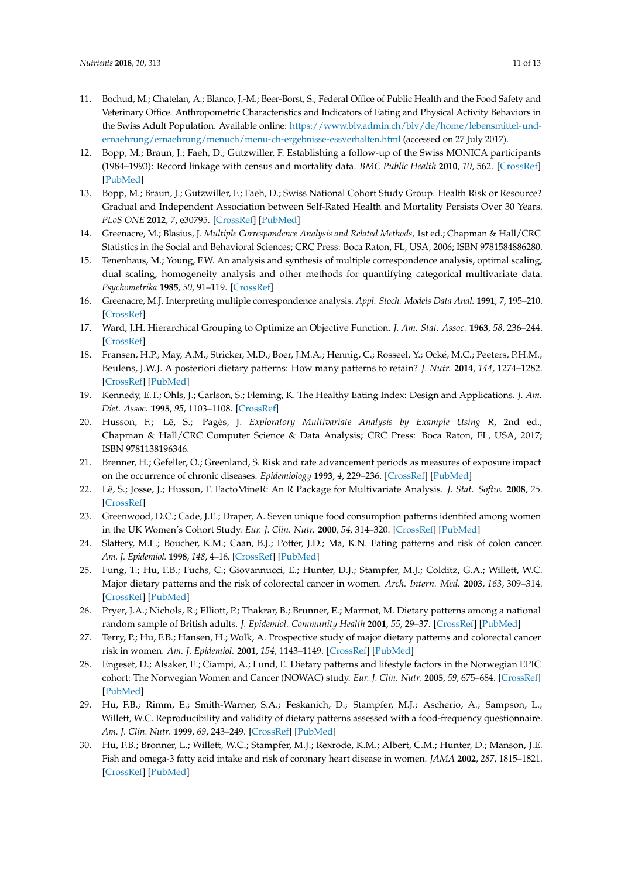- 11. Bochud, M.; Chatelan, A.; Blanco, J.-M.; Beer-Borst, S.; Federal Office of Public Health and the Food Safety and Veterinary Office. Anthropometric Characteristics and Indicators of Eating and Physical Activity Behaviors in the Swiss Adult Population. Available online: [https://www.blv.admin.ch/blv/de/home/lebensmittel-und](https://www.blv.admin.ch/blv/de/home/lebensmittel-und-ernaehrung/ernaehrung/menuch/menu-ch-ergebnisse-essverhalten.html)[ernaehrung/ernaehrung/menuch/menu-ch-ergebnisse-essverhalten.html](https://www.blv.admin.ch/blv/de/home/lebensmittel-und-ernaehrung/ernaehrung/menuch/menu-ch-ergebnisse-essverhalten.html) (accessed on 27 July 2017).
- 12. Bopp, M.; Braun, J.; Faeh, D.; Gutzwiller, F. Establishing a follow-up of the Swiss MONICA participants (1984–1993): Record linkage with census and mortality data. *BMC Public Health* **2010**, *10*, 562. [\[CrossRef\]](http://dx.doi.org/10.1186/1471-2458-10-562) [\[PubMed\]](http://www.ncbi.nlm.nih.gov/pubmed/20858236)
- 13. Bopp, M.; Braun, J.; Gutzwiller, F.; Faeh, D.; Swiss National Cohort Study Group. Health Risk or Resource? Gradual and Independent Association between Self-Rated Health and Mortality Persists Over 30 Years. *PLoS ONE* **2012**, *7*, e30795. [\[CrossRef\]](http://dx.doi.org/10.1371/journal.pone.0030795) [\[PubMed\]](http://www.ncbi.nlm.nih.gov/pubmed/22347405)
- 14. Greenacre, M.; Blasius, J. *Multiple Correspondence Analysis and Related Methods*, 1st ed.; Chapman & Hall/CRC Statistics in the Social and Behavioral Sciences; CRC Press: Boca Raton, FL, USA, 2006; ISBN 9781584886280.
- 15. Tenenhaus, M.; Young, F.W. An analysis and synthesis of multiple correspondence analysis, optimal scaling, dual scaling, homogeneity analysis and other methods for quantifying categorical multivariate data. *Psychometrika* **1985**, *50*, 91–119. [\[CrossRef\]](http://dx.doi.org/10.1007/BF02294151)
- 16. Greenacre, M.J. Interpreting multiple correspondence analysis. *Appl. Stoch. Models Data Anal.* **1991**, *7*, 195–210. [\[CrossRef\]](http://dx.doi.org/10.1002/asm.3150070208)
- 17. Ward, J.H. Hierarchical Grouping to Optimize an Objective Function. *J. Am. Stat. Assoc.* **1963**, *58*, 236–244. [\[CrossRef\]](http://dx.doi.org/10.1080/01621459.1963.10500845)
- 18. Fransen, H.P.; May, A.M.; Stricker, M.D.; Boer, J.M.A.; Hennig, C.; Rosseel, Y.; Ocké, M.C.; Peeters, P.H.M.; Beulens, J.W.J. A posteriori dietary patterns: How many patterns to retain? *J. Nutr.* **2014**, *144*, 1274–1282. [\[CrossRef\]](http://dx.doi.org/10.3945/jn.113.188680) [\[PubMed\]](http://www.ncbi.nlm.nih.gov/pubmed/24872222)
- 19. Kennedy, E.T.; Ohls, J.; Carlson, S.; Fleming, K. The Healthy Eating Index: Design and Applications. *J. Am. Diet. Assoc.* **1995**, *95*, 1103–1108. [\[CrossRef\]](http://dx.doi.org/10.1016/S0002-8223(95)00300-2)
- 20. Husson, F.; Lê, S.; Pagès, J. *Exploratory Multivariate Analysis by Example Using R*, 2nd ed.; Chapman & Hall/CRC Computer Science & Data Analysis; CRC Press: Boca Raton, FL, USA, 2017; ISBN 9781138196346.
- 21. Brenner, H.; Gefeller, O.; Greenland, S. Risk and rate advancement periods as measures of exposure impact on the occurrence of chronic diseases. *Epidemiology* **1993**, *4*, 229–236. [\[CrossRef\]](http://dx.doi.org/10.1097/00001648-199305000-00006) [\[PubMed\]](http://www.ncbi.nlm.nih.gov/pubmed/8512987)
- 22. Lê, S.; Josse, J.; Husson, F. FactoMineR: An R Package for Multivariate Analysis. *J. Stat. Softw.* **2008**, *25*. [\[CrossRef\]](http://dx.doi.org/10.18637/jss.v025.i01)
- 23. Greenwood, D.C.; Cade, J.E.; Draper, A. Seven unique food consumption patterns identifed among women in the UK Women's Cohort Study. *Eur. J. Clin. Nutr.* **2000**, *54*, 314–320. [\[CrossRef\]](http://dx.doi.org/10.1038/sj.ejcn.1600941) [\[PubMed\]](http://www.ncbi.nlm.nih.gov/pubmed/10745282)
- 24. Slattery, M.L.; Boucher, K.M.; Caan, B.J.; Potter, J.D.; Ma, K.N. Eating patterns and risk of colon cancer. *Am. J. Epidemiol.* **1998**, *148*, 4–16. [\[CrossRef\]](http://dx.doi.org/10.1093/aje/148.1.4-a) [\[PubMed\]](http://www.ncbi.nlm.nih.gov/pubmed/9663397)
- 25. Fung, T.; Hu, F.B.; Fuchs, C.; Giovannucci, E.; Hunter, D.J.; Stampfer, M.J.; Colditz, G.A.; Willett, W.C. Major dietary patterns and the risk of colorectal cancer in women. *Arch. Intern. Med.* **2003**, *163*, 309–314. [\[CrossRef\]](http://dx.doi.org/10.1001/archinte.163.3.309) [\[PubMed\]](http://www.ncbi.nlm.nih.gov/pubmed/12578511)
- 26. Pryer, J.A.; Nichols, R.; Elliott, P.; Thakrar, B.; Brunner, E.; Marmot, M. Dietary patterns among a national random sample of British adults. *J. Epidemiol. Community Health* **2001**, *55*, 29–37. [\[CrossRef\]](http://dx.doi.org/10.1136/jech.55.1.29) [\[PubMed\]](http://www.ncbi.nlm.nih.gov/pubmed/11112948)
- 27. Terry, P.; Hu, F.B.; Hansen, H.; Wolk, A. Prospective study of major dietary patterns and colorectal cancer risk in women. *Am. J. Epidemiol.* **2001**, *154*, 1143–1149. [\[CrossRef\]](http://dx.doi.org/10.1093/aje/154.12.1143) [\[PubMed\]](http://www.ncbi.nlm.nih.gov/pubmed/11744520)
- 28. Engeset, D.; Alsaker, E.; Ciampi, A.; Lund, E. Dietary patterns and lifestyle factors in the Norwegian EPIC cohort: The Norwegian Women and Cancer (NOWAC) study. *Eur. J. Clin. Nutr.* **2005**, *59*, 675–684. [\[CrossRef\]](http://dx.doi.org/10.1038/sj.ejcn.1602129) [\[PubMed\]](http://www.ncbi.nlm.nih.gov/pubmed/15785773)
- 29. Hu, F.B.; Rimm, E.; Smith-Warner, S.A.; Feskanich, D.; Stampfer, M.J.; Ascherio, A.; Sampson, L.; Willett, W.C. Reproducibility and validity of dietary patterns assessed with a food-frequency questionnaire. *Am. J. Clin. Nutr.* **1999**, *69*, 243–249. [\[CrossRef\]](http://dx.doi.org/10.1093/ajcn/69.2.243) [\[PubMed\]](http://www.ncbi.nlm.nih.gov/pubmed/9989687)
- 30. Hu, F.B.; Bronner, L.; Willett, W.C.; Stampfer, M.J.; Rexrode, K.M.; Albert, C.M.; Hunter, D.; Manson, J.E. Fish and omega-3 fatty acid intake and risk of coronary heart disease in women. *JAMA* **2002**, *287*, 1815–1821. [\[CrossRef\]](http://dx.doi.org/10.1001/jama.287.14.1815) [\[PubMed\]](http://www.ncbi.nlm.nih.gov/pubmed/11939867)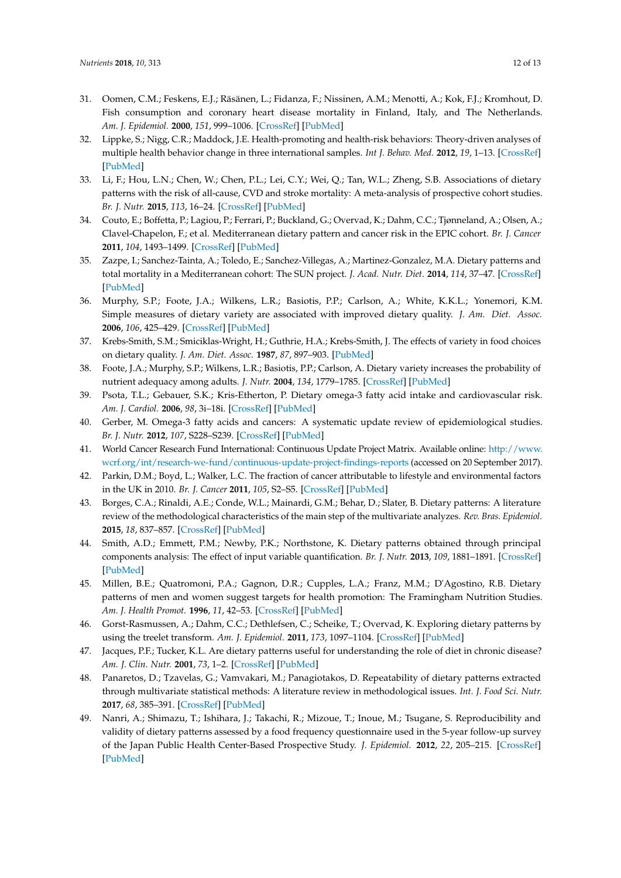- 31. Oomen, C.M.; Feskens, E.J.; Räsänen, L.; Fidanza, F.; Nissinen, A.M.; Menotti, A.; Kok, F.J.; Kromhout, D. Fish consumption and coronary heart disease mortality in Finland, Italy, and The Netherlands. *Am. J. Epidemiol.* **2000**, *151*, 999–1006. [\[CrossRef\]](http://dx.doi.org/10.1093/oxfordjournals.aje.a010144) [\[PubMed\]](http://www.ncbi.nlm.nih.gov/pubmed/10853639)
- 32. Lippke, S.; Nigg, C.R.; Maddock, J.E. Health-promoting and health-risk behaviors: Theory-driven analyses of multiple health behavior change in three international samples. *Int J. Behav. Med.* **2012**, *19*, 1–13. [\[CrossRef\]](http://dx.doi.org/10.1007/s12529-010-9135-4) [\[PubMed\]](http://www.ncbi.nlm.nih.gov/pubmed/21234735)
- 33. Li, F.; Hou, L.N.; Chen, W.; Chen, P.L.; Lei, C.Y.; Wei, Q.; Tan, W.L.; Zheng, S.B. Associations of dietary patterns with the risk of all-cause, CVD and stroke mortality: A meta-analysis of prospective cohort studies. *Br. J. Nutr.* **2015**, *113*, 16–24. [\[CrossRef\]](http://dx.doi.org/10.1017/S000711451400289X) [\[PubMed\]](http://www.ncbi.nlm.nih.gov/pubmed/25430485)
- 34. Couto, E.; Boffetta, P.; Lagiou, P.; Ferrari, P.; Buckland, G.; Overvad, K.; Dahm, C.C.; Tjønneland, A.; Olsen, A.; Clavel-Chapelon, F.; et al. Mediterranean dietary pattern and cancer risk in the EPIC cohort. *Br. J. Cancer* **2011**, *104*, 1493–1499. [\[CrossRef\]](http://dx.doi.org/10.1038/bjc.2011.106) [\[PubMed\]](http://www.ncbi.nlm.nih.gov/pubmed/21468044)
- 35. Zazpe, I.; Sanchez-Tainta, A.; Toledo, E.; Sanchez-Villegas, A.; Martinez-Gonzalez, M.A. Dietary patterns and total mortality in a Mediterranean cohort: The SUN project. *J. Acad. Nutr. Diet.* **2014**, *114*, 37–47. [\[CrossRef\]](http://dx.doi.org/10.1016/j.jand.2013.07.024) [\[PubMed\]](http://www.ncbi.nlm.nih.gov/pubmed/24095621)
- 36. Murphy, S.P.; Foote, J.A.; Wilkens, L.R.; Basiotis, P.P.; Carlson, A.; White, K.K.L.; Yonemori, K.M. Simple measures of dietary variety are associated with improved dietary quality. *J. Am. Diet. Assoc.* **2006**, *106*, 425–429. [\[CrossRef\]](http://dx.doi.org/10.1016/j.jada.2005.12.003) [\[PubMed\]](http://www.ncbi.nlm.nih.gov/pubmed/16503233)
- 37. Krebs-Smith, S.M.; Smiciklas-Wright, H.; Guthrie, H.A.; Krebs-Smith, J. The effects of variety in food choices on dietary quality. *J. Am. Diet. Assoc.* **1987**, *87*, 897–903. [\[PubMed\]](http://www.ncbi.nlm.nih.gov/pubmed/3598038)
- 38. Foote, J.A.; Murphy, S.P.; Wilkens, L.R.; Basiotis, P.P.; Carlson, A. Dietary variety increases the probability of nutrient adequacy among adults. *J. Nutr.* **2004**, *134*, 1779–1785. [\[CrossRef\]](http://dx.doi.org/10.1093/jn/134.7.1779) [\[PubMed\]](http://www.ncbi.nlm.nih.gov/pubmed/15226469)
- 39. Psota, T.L.; Gebauer, S.K.; Kris-Etherton, P. Dietary omega-3 fatty acid intake and cardiovascular risk. *Am. J. Cardiol.* **2006**, *98*, 3i–18i. [\[CrossRef\]](http://dx.doi.org/10.1016/j.amjcard.2005.12.022) [\[PubMed\]](http://www.ncbi.nlm.nih.gov/pubmed/16919512)
- 40. Gerber, M. Omega-3 fatty acids and cancers: A systematic update review of epidemiological studies. *Br. J. Nutr.* **2012**, *107*, S228–S239. [\[CrossRef\]](http://dx.doi.org/10.1017/S0007114512001614) [\[PubMed\]](http://www.ncbi.nlm.nih.gov/pubmed/22591896)
- 41. World Cancer Research Fund International: Continuous Update Project Matrix. Available online: [http://www.](http://www.wcrf.org/int/research-we-fund/continuous-update-project-findings-reports) [wcrf.org/int/research-we-fund/continuous-update-project-findings-reports](http://www.wcrf.org/int/research-we-fund/continuous-update-project-findings-reports) (accessed on 20 September 2017).
- 42. Parkin, D.M.; Boyd, L.; Walker, L.C. The fraction of cancer attributable to lifestyle and environmental factors in the UK in 2010. *Br. J. Cancer* **2011**, *105*, S2–S5. [\[CrossRef\]](http://dx.doi.org/10.1038/bjc.2011.474) [\[PubMed\]](http://www.ncbi.nlm.nih.gov/pubmed/22158314)
- 43. Borges, C.A.; Rinaldi, A.E.; Conde, W.L.; Mainardi, G.M.; Behar, D.; Slater, B. Dietary patterns: A literature review of the methodological characteristics of the main step of the multivariate analyzes. *Rev. Bras. Epidemiol.* **2015**, *18*, 837–857. [\[CrossRef\]](http://dx.doi.org/10.1590/1980-5497201500040013) [\[PubMed\]](http://www.ncbi.nlm.nih.gov/pubmed/26982299)
- 44. Smith, A.D.; Emmett, P.M.; Newby, P.K.; Northstone, K. Dietary patterns obtained through principal components analysis: The effect of input variable quantification. *Br. J. Nutr.* **2013**, *109*, 1881–1891. [\[CrossRef\]](http://dx.doi.org/10.1017/S0007114512003868) [\[PubMed\]](http://www.ncbi.nlm.nih.gov/pubmed/22950853)
- 45. Millen, B.E.; Quatromoni, P.A.; Gagnon, D.R.; Cupples, L.A.; Franz, M.M.; D'Agostino, R.B. Dietary patterns of men and women suggest targets for health promotion: The Framingham Nutrition Studies. *Am. J. Health Promot.* **1996**, *11*, 42–53. [\[CrossRef\]](http://dx.doi.org/10.4278/0890-1171-11.1.42) [\[PubMed\]](http://www.ncbi.nlm.nih.gov/pubmed/10163450)
- 46. Gorst-Rasmussen, A.; Dahm, C.C.; Dethlefsen, C.; Scheike, T.; Overvad, K. Exploring dietary patterns by using the treelet transform. *Am. J. Epidemiol.* **2011**, *173*, 1097–1104. [\[CrossRef\]](http://dx.doi.org/10.1093/aje/kwr060) [\[PubMed\]](http://www.ncbi.nlm.nih.gov/pubmed/21474587)
- 47. Jacques, P.F.; Tucker, K.L. Are dietary patterns useful for understanding the role of diet in chronic disease? *Am. J. Clin. Nutr.* **2001**, *73*, 1–2. [\[CrossRef\]](http://dx.doi.org/10.1093/ajcn/73.1.1) [\[PubMed\]](http://www.ncbi.nlm.nih.gov/pubmed/11124739)
- 48. Panaretos, D.; Tzavelas, G.; Vamvakari, M.; Panagiotakos, D. Repeatability of dietary patterns extracted through multivariate statistical methods: A literature review in methodological issues. *Int. J. Food Sci. Nutr.* **2017**, *68*, 385–391. [\[CrossRef\]](http://dx.doi.org/10.1080/09637486.2016.1252317) [\[PubMed\]](http://www.ncbi.nlm.nih.gov/pubmed/27829309)
- 49. Nanri, A.; Shimazu, T.; Ishihara, J.; Takachi, R.; Mizoue, T.; Inoue, M.; Tsugane, S. Reproducibility and validity of dietary patterns assessed by a food frequency questionnaire used in the 5-year follow-up survey of the Japan Public Health Center-Based Prospective Study. *J. Epidemiol.* **2012**, *22*, 205–215. [\[CrossRef\]](http://dx.doi.org/10.2188/jea.JE20110087) [\[PubMed\]](http://www.ncbi.nlm.nih.gov/pubmed/22343330)